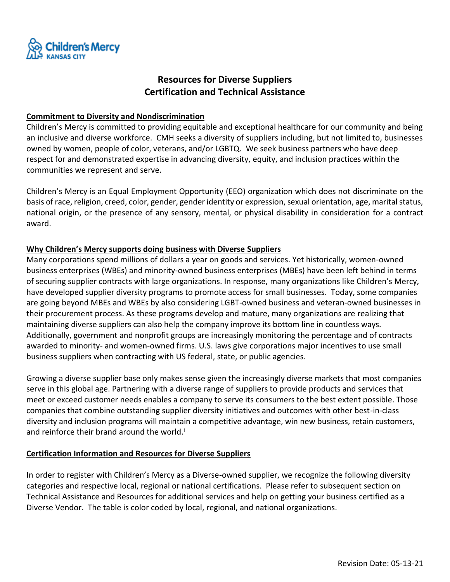

# **Resources for Diverse Suppliers Certification and Technical Assistance**

### **Commitment to Diversity and Nondiscrimination**

Children's Mercy is committed to providing equitable and exceptional healthcare for our community and being an inclusive and diverse workforce. CMH seeks a diversity of suppliers including, but not limited to, businesses owned by women, people of color, veterans, and/or LGBTQ. We seek business partners who have deep respect for and demonstrated expertise in advancing diversity, equity, and inclusion practices within the communities we represent and serve.

Children's Mercy is an Equal Employment Opportunity (EEO) organization which does not discriminate on the basis of race, religion, creed, color, gender, gender identity or expression, sexual orientation, age, marital status, national origin, or the presence of any sensory, mental, or physical disability in consideration for a contract award.

### **Why Children's Mercy supports doing business with Diverse Suppliers**

Many corporations spend millions of dollars a year on goods and services. Yet historically, women-owned business enterprises (WBEs) and minority-owned business enterprises (MBEs) have been left behind in terms of securing supplier contracts with large organizations. In response, many organizations like Children's Mercy, have developed supplier diversity programs to promote access for small businesses. Today, some companies are going beyond MBEs and WBEs by also considering LGBT-owned business and veteran-owned businesses in their procurement process. As these programs develop and mature, many organizations are realizing that maintaining diverse suppliers can also help the company improve its bottom line in countless ways. Additionally, government and nonprofit groups are increasingly monitoring the percentage and of contracts awarded to minority- and women-owned firms. U.S. laws give corporations major incentives to use small business suppliers when contracting with US federal, state, or public agencies.

Growing a diverse supplier base only makes sense given the increasingly diverse markets that most companies serve in this global age. Partnering with a diverse range of suppliers to provide products and services that meet or exceed customer needs enables a company to serve its consumers to the best extent possible. Those companies that combine outstanding supplier diversity initiatives and outcomes with other best-in-class diversity and inclusion programs will maintain a competitive advantage, win new business, retain customers, and reinforce their brand around the world.<sup>i</sup>

#### **Certification Information and Resources for Diverse Suppliers**

In order to register with Children's Mercy as a Diverse-owned supplier, we recognize the following diversity categories and respective local, regional or national certifications. Please refer to subsequent section on Technical Assistance and Resources for additional services and help on getting your business certified as a Diverse Vendor. The table is color coded by local, regional, and national organizations.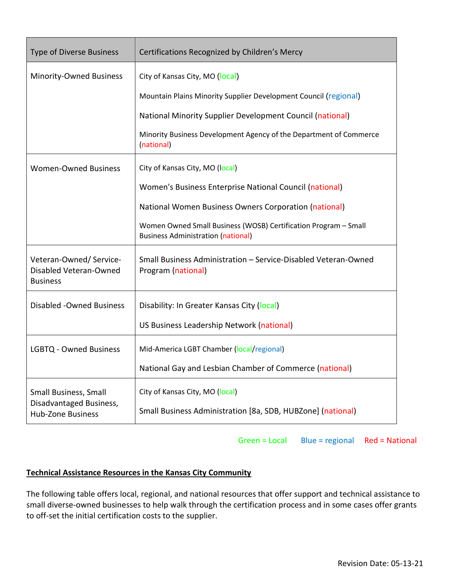| <b>Type of Diverse Business</b>                                              | Certifications Recognized by Children's Mercy                                                                |
|------------------------------------------------------------------------------|--------------------------------------------------------------------------------------------------------------|
| Minority-Owned Business                                                      | City of Kansas City, MO (local)                                                                              |
|                                                                              | Mountain Plains Minority Supplier Development Council (regional)                                             |
|                                                                              | National Minority Supplier Development Council (national)                                                    |
|                                                                              | Minority Business Development Agency of the Department of Commerce<br>(national)                             |
| <b>Women-Owned Business</b>                                                  | City of Kansas City, MO (local)                                                                              |
|                                                                              | Women's Business Enterprise National Council (national)                                                      |
|                                                                              | National Women Business Owners Corporation (national)                                                        |
|                                                                              | Women Owned Small Business (WOSB) Certification Program - Small<br><b>Business Administration (national)</b> |
| Veteran-Owned/Service-<br>Disabled Veteran-Owned<br><b>Business</b>          | Small Business Administration - Service-Disabled Veteran-Owned<br>Program (national)                         |
| <b>Disabled -Owned Business</b>                                              | Disability: In Greater Kansas City (local)                                                                   |
|                                                                              | US Business Leadership Network (national)                                                                    |
| <b>LGBTQ - Owned Business</b>                                                | Mid-America LGBT Chamber (local/regional)                                                                    |
|                                                                              | National Gay and Lesbian Chamber of Commerce (national)                                                      |
| Small Business, Small<br>Disadvantaged Business,<br><b>Hub-Zone Business</b> | City of Kansas City, MO (local)<br>Small Business Administration [8a, SDB, HUBZone] (national)               |

Green = Local Blue = regional Red = National

## **Technical Assistance Resources in the Kansas City Community**

The following table offers local, regional, and national resources that offer support and technical assistance to small diverse-owned businesses to help walk through the certification process and in some cases offer grants to off-set the initial certification costs to the supplier.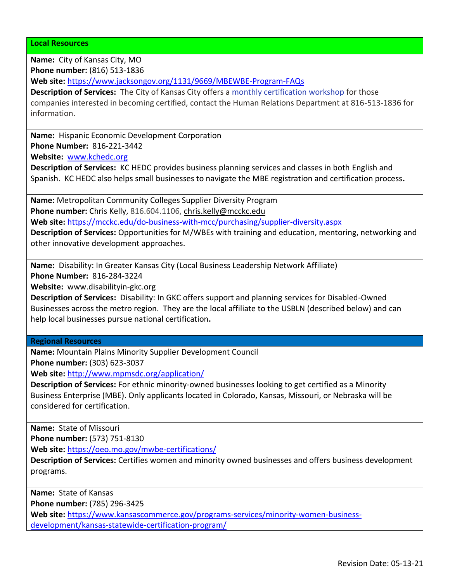**Local Resources**

**Name:** City of Kansas City, MO

**Phone number:** (816) 513-1836

**Web site:** <https://www.jacksongov.org/1131/9669/MBEWBE-Program-FAQs>

**Description of Services:** The City of Kansas City offers a [monthly certification workshop](https://www.kcmo.gov/city-hall/departments/human-relations/mwdbe-workshop-schedule) for those companies interested in becoming certified, contact the Human Relations Department at 816-513-1836 for information.

**Name:** Hispanic Economic Development Corporation

**Phone Number:** 816-221-3442

**Website:** [www.kchedc.org](http://www.kchedc.org/) 

**Description of Services:** KC HEDC provides business planning services and classes in both English and Spanish. KC HEDC also helps small businesses to navigate the MBE registration and certification process**.**

**Name:** Metropolitan Community Colleges Supplier Diversity Program **Phone number:** Chris Kelly, 816.604.1106, [chris.kelly@mcckc.edu](mailto:chris.kelly@mcckc.edu) **Web site:** <https://mcckc.edu/do-business-with-mcc/purchasing/supplier-diversity.aspx>

**Description of Services:** Opportunities for M/WBEs with training and education, mentoring, networking and

other innovative development approaches.

**Name:** Disability: In Greater Kansas City (Local Business Leadership Network Affiliate) **Phone Number:** 816-284-3224

**Website:** www.disabilityin-gkc.org

**Description of Services:** Disability: In GKC offers support and planning services for Disabled-Owned Businesses across the metro region. They are the local affiliate to the USBLN (described below) and can help local businesses pursue national certification**.**

**Regional Resources**

**Name:** Mountain Plains Minority Supplier Development Council **Phone number:** (303) 623-3037

**Web site:** <http://www.mpmsdc.org/application/>

**Description of Services:** For ethnic minority-owned businesses looking to get certified as a Minority Business Enterprise (MBE). Only applicants located in Colorado, Kansas, Missouri, or Nebraska will be considered for certification.

**Name:** State of Missouri

**Phone number:** (573) 751-8130

**Web site:** <https://oeo.mo.gov/mwbe-certifications/>

**Description of Services:** Certifies women and minority owned businesses and offers business development programs.

**Name:** State of Kansas

**Phone number:** (785) 296-3425

**Web site:** [https://www.kansascommerce.gov/programs-services/minority-women-business](https://www.kansascommerce.gov/programs-services/minority-women-business-development/kansas-statewide-certification-program/)[development/kansas-statewide-certification-program/](https://www.kansascommerce.gov/programs-services/minority-women-business-development/kansas-statewide-certification-program/)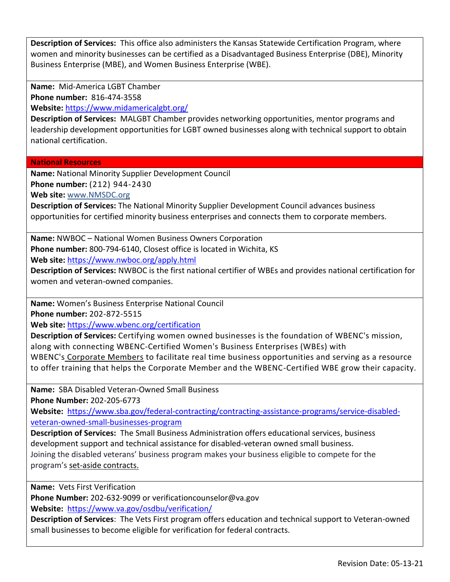**Description of Services:** This office also administers the Kansas Statewide Certification Program, where women and minority businesses can be certified as a Disadvantaged Business Enterprise (DBE), Minority Business Enterprise (MBE), and Women Business Enterprise (WBE).

**Name:** Mid-America LGBT Chamber **Phone number:** 816-474-3558

**Website:** <https://www.midamericalgbt.org/>

**Description of Services:** MALGBT Chamber provides networking opportunities, mentor programs and leadership development opportunities for LGBT owned businesses along with technical support to obtain national certification.

**National Resources**

**Name:** National Minority Supplier Development Council **Phone number:** (212) 944-2430

**Web site:** [www.NMSDC.org](https://www.nmsdc.org/)

**Description of Services:** The National Minority Supplier Development Council advances business opportunities for certified minority business enterprises and connects them to corporate members.

**Name:** NWBOC – National Women Business Owners Corporation **Phone number:** 800-794-6140, Closest office is located in Wichita, KS **Web site:** <https://www.nwboc.org/apply.html>

**Description of Services:** NWBOC is the first national certifier of WBEs and provides national certification for women and veteran-owned companies.

**Name:** Women's Business Enterprise National Council

**Phone number:** 202-872-5515

**Web site:** <https://www.wbenc.org/certification>

**Description of Services:** Certifying women owned businesses is the foundation of WBENC's mission, along with connecting WBENC-Certified Women's Business Enterprises (WBEs) with WBENC's [Corporate Members](http://www.wbenc.org/corporate-membership-overview/) to facilitate real time business opportunities and serving as a resource to offer training that helps the Corporate Member and the WBENC-Certified WBE grow their capacity.

**Name:** SBA Disabled Veteran-Owned Small Business

**Phone Number:** 202-205-6773

**Website:** [https://www.sba.gov/federal-contracting/contracting-assistance-programs/service-disabled](https://www.sba.gov/federal-contracting/contracting-assistance-programs/service-disabled-veteran-owned-small-businesses-program)[veteran-owned-small-businesses-program](https://www.sba.gov/federal-contracting/contracting-assistance-programs/service-disabled-veteran-owned-small-businesses-program)

**Description of Services:** The Small Business Administration offers educational services, business development support and technical assistance for disabled-veteran owned small business. Joining the disabled veterans' business program makes your business eligible to compete for the program's [set-aside contracts.](http://www.sba.gov/federal-contracting/contracting-guide/types-contracts)

**Name:** Vets First Verification

**Phone Number:** 202-632-9099 or verificationcounselor@va.gov

**Website:** <https://www.va.gov/osdbu/verification/>

**Description of Services**: The Vets First program offers education and technical support to Veteran-owned small businesses to become eligible for verification for federal contracts.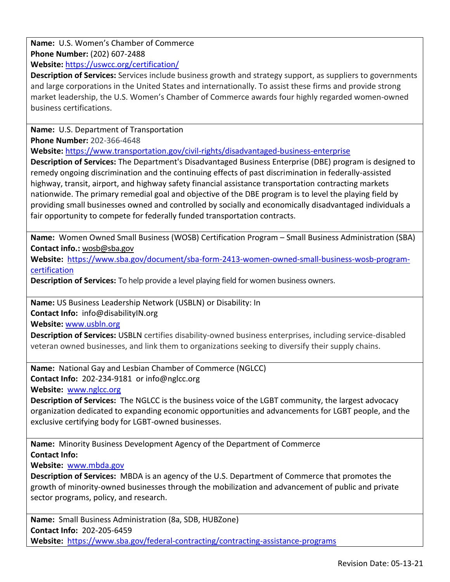**Name:** U.S. Women's Chamber of Commerce **Phone Number:** (202) 607-2488 **Website:** <https://uswcc.org/certification/>

**Description of Services:** Services include business growth and strategy support, as suppliers to governments and large corporations in the United States and internationally. To assist these firms and provide strong market leadership, the U.S. Women's Chamber of Commerce awards four highly regarded women-owned business certifications.

**Name:** U.S. Department of Transportation

**Phone Number:** 202-366-4648

**Website:** <https://www.transportation.gov/civil-rights/disadvantaged-business-enterprise>

**Description of Services:** The Department's Disadvantaged Business Enterprise (DBE) program is designed to remedy ongoing discrimination and the continuing effects of past discrimination in federally-assisted highway, transit, airport, and highway safety financial assistance transportation contracting markets nationwide. The primary remedial goal and objective of the DBE program is to level the playing field by providing small businesses owned and controlled by socially and economically disadvantaged individuals a fair opportunity to compete for federally funded transportation contracts.

**Name:** Women Owned Small Business (WOSB) Certification Program – Small Business Administration (SBA) **Contact info.:** [wosb@sba.gov](mailto:wosb@sba.gov)

**Website:** [https://www.sba.gov/document/sba-form-2413-women-owned-small-business-wosb-program](https://www.sba.gov/document/sba-form-2413-women-owned-small-business-wosb-program-certification)[certification](https://www.sba.gov/document/sba-form-2413-women-owned-small-business-wosb-program-certification)

**Description of Services:** To help provide a level playing field for women business owners.

**Name:** US Business Leadership Network (USBLN) or Disability: In **Contact Info:** info@disabilityIN.org **Website:** [www.usbln.org](http://www.usbln.org/)

**Description of Services:** USBLN certifies disability-owned business enterprises, including service-disabled veteran owned businesses, and link them to organizations seeking to diversify their supply chains.

**Name:** National Gay and Lesbian Chamber of Commerce (NGLCC) **Contact Info:** 202-234-9181 or info@nglcc.org **Website:** [www.nglcc.org](http://www.nglcc.org/)

**Description of Services:** The NGLCC is the business voice of the LGBT community, the largest advocacy organization dedicated to expanding economic opportunities and advancements for LGBT people, and the exclusive certifying body for LGBT-owned businesses.

**Name:** Minority Business Development Agency of the Department of Commerce **Contact Info:**

**Website:** [www.mbda.gov](http://www.mbda.gov/)

**Description of Services:** MBDA is an agency of the U.S. Department of Commerce that promotes the growth of minority-owned businesses through the mobilization and advancement of public and private sector programs, policy, and research.

**Name:** Small Business Administration (8a, SDB, HUBZone) **Contact Info:** 202-205-6459 **Website:** <https://www.sba.gov/federal-contracting/contracting-assistance-programs>